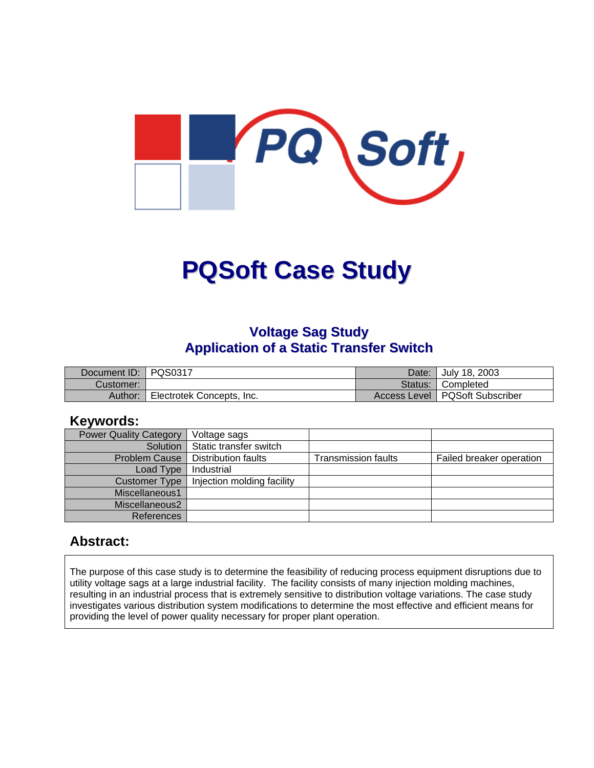

# **PQSoft Case Study**

#### **Voltage Sag Study Application of a Static Transfer Switch**

| Document ID: PQS0317 |                           | Date:   | July 18, 2003                    |
|----------------------|---------------------------|---------|----------------------------------|
| Customer:            |                           | Status: | Completed                        |
| Author:              | Electrotek Concepts, Inc. |         | Access Level   PQSoft Subscriber |

#### **Keywords:**

| <b>Power Quality Category</b> | Voltage sags               |                     |                          |
|-------------------------------|----------------------------|---------------------|--------------------------|
| Solution                      | Static transfer switch     |                     |                          |
| <b>Problem Cause</b>          | Distribution faults        | Transmission faults | Failed breaker operation |
| Load Type                     | Industrial                 |                     |                          |
| <b>Customer Type</b>          | Injection molding facility |                     |                          |
| Miscellaneous1                |                            |                     |                          |
| Miscellaneous2                |                            |                     |                          |
| <b>References</b>             |                            |                     |                          |

#### **Abstract:**

The purpose of this case study is to determine the feasibility of reducing process equipment disruptions due to utility voltage sags at a large industrial facility. The facility consists of many injection molding machines, resulting in an industrial process that is extremely sensitive to distribution voltage variations. The case study investigates various distribution system modifications to determine the most effective and efficient means for providing the level of power quality necessary for proper plant operation.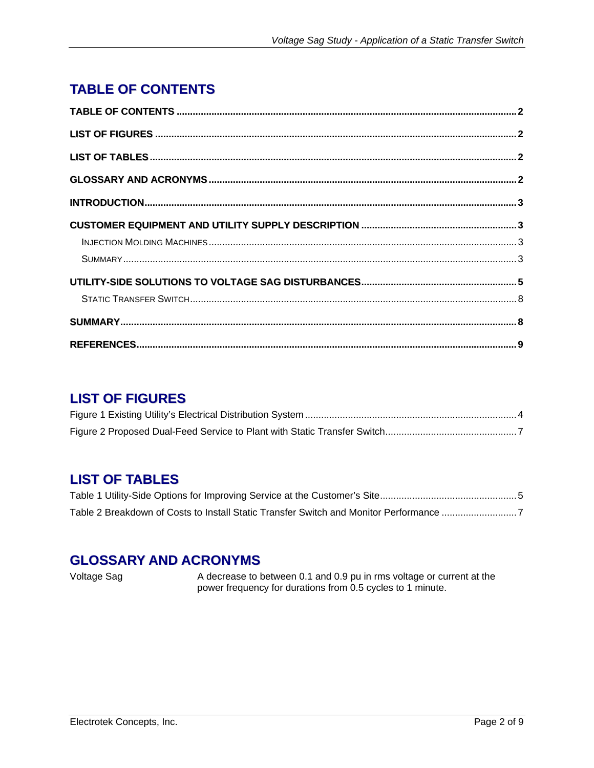# <span id="page-1-0"></span>**TABLE OF CONTENTS**

## **LIST OF FIGURES**

# **LIST OF TABLES**

| Table 2 Breakdown of Costs to Install Static Transfer Switch and Monitor Performance 7 |  |
|----------------------------------------------------------------------------------------|--|

### **GLOSSARY AND ACRONYMS**

Voltage Sag A decrease to between 0.1 and 0.9 pu in rms voltage or current at the power frequency for durations from 0.5 cycles to 1 minute.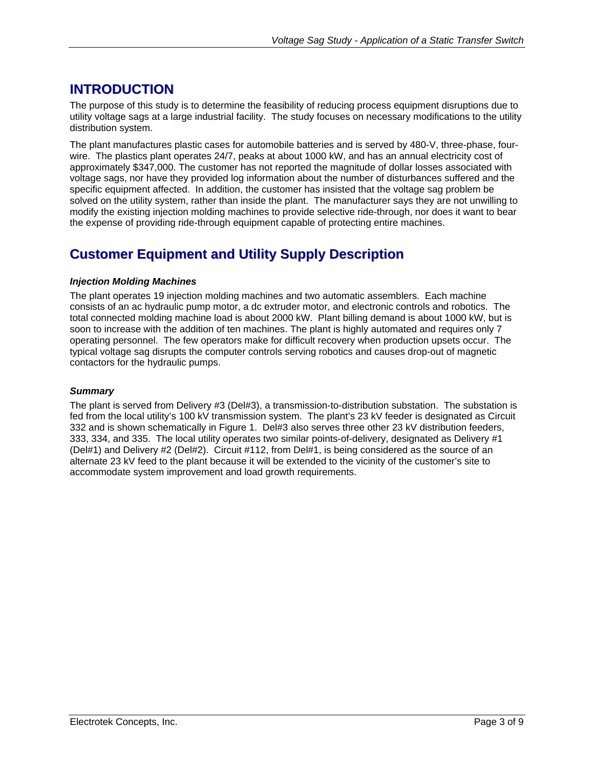## <span id="page-2-0"></span>**INTRODUCTION**

The purpose of this study is to determine the feasibility of reducing process equipment disruptions due to utility voltage sags at a large industrial facility. The study focuses on necessary modifications to the utility distribution system.

The plant manufactures plastic cases for automobile batteries and is served by 480-V, three-phase, fourwire. The plastics plant operates 24/7, peaks at about 1000 kW, and has an annual electricity cost of approximately \$347,000. The customer has not reported the magnitude of dollar losses associated with voltage sags, nor have they provided log information about the number of disturbances suffered and the specific equipment affected. In addition, the customer has insisted that the voltage sag problem be solved on the utility system, rather than inside the plant. The manufacturer says they are not unwilling to modify the existing injection molding machines to provide selective ride-through, nor does it want to bear the expense of providing ride-through equipment capable of protecting entire machines.

## **Customer Equipment and Utility Supply Description**

#### *Injection Molding Machines*

The plant operates 19 injection molding machines and two automatic assemblers. Each machine consists of an ac hydraulic pump motor, a dc extruder motor, and electronic controls and robotics. The total connected molding machine load is about 2000 kW. Plant billing demand is about 1000 kW, but is soon to increase with the addition of ten machines. The plant is highly automated and requires only 7 operating personnel. The few operators make for difficult recovery when production upsets occur. The typical voltage sag disrupts the computer controls serving robotics and causes drop-out of magnetic contactors for the hydraulic pumps.

#### *Summary*

The plant is served from Delivery #3 (Del#3), a transmission-to-distribution substation. The substation is fed from the local utility's 100 kV transmission system. The plant's 23 kV feeder is designated as Circuit 332 and is shown schematically in [Figure 1.](#page-3-1) Del#3 also serves three other 23 kV distribution feeders, 333, 334, and 335. The local utility operates two similar points-of-delivery, designated as Delivery #1 (Del#1) and Delivery #2 (Del#2). Circuit #112, from Del#1, is being considered as the source of an alternate 23 kV feed to the plant because it will be extended to the vicinity of the customer's site to accommodate system improvement and load growth requirements.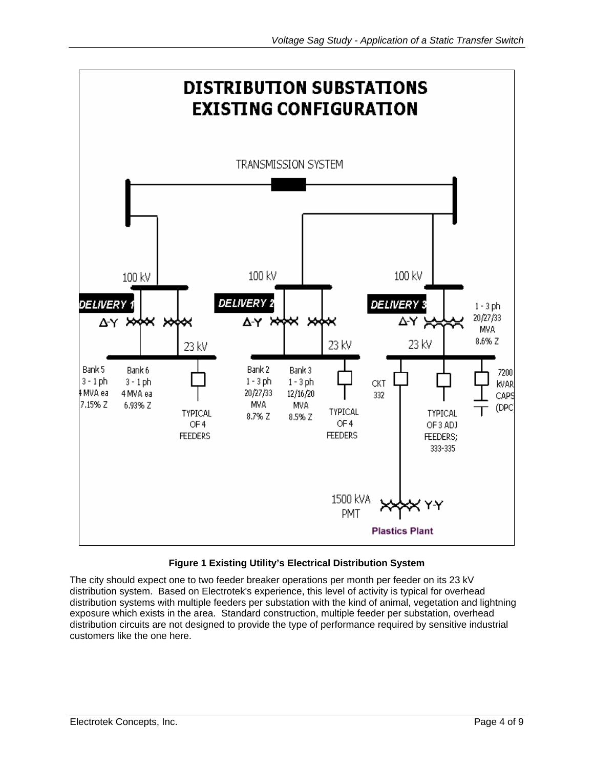<span id="page-3-1"></span><span id="page-3-0"></span>

#### **Figure 1 Existing Utility's Electrical Distribution System**

The city should expect one to two feeder breaker operations per month per feeder on its 23 kV distribution system. Based on Electrotek's experience, this level of activity is typical for overhead distribution systems with multiple feeders per substation with the kind of animal, vegetation and lightning exposure which exists in the area. Standard construction, multiple feeder per substation, overhead distribution circuits are not designed to provide the type of performance required by sensitive industrial customers like the one here.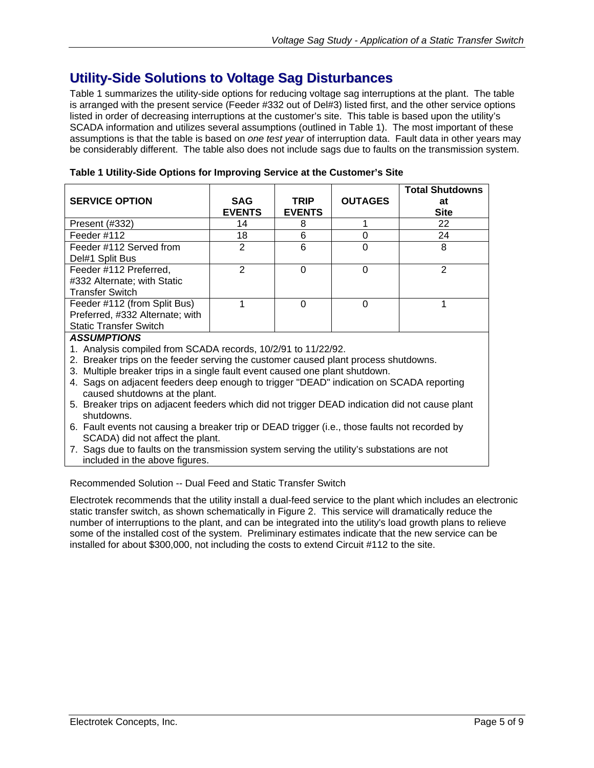## <span id="page-4-0"></span>**Utility-Side Solutions to Voltage Sag Disturbances**

[Table 1](#page-4-1) summarizes the utility-side options for reducing voltage sag interruptions at the plant. The table is arranged with the present service (Feeder #332 out of Del#3) listed first, and the other service options listed in order of decreasing interruptions at the customer's site. This table is based upon the utility's SCADA information and utilizes several assumptions (outlined in [Table 1\)](#page-4-1). The most important of these assumptions is that the table is based on *one test year* of interruption data. Fault data in other years may be considerably different. The table also does not include sags due to faults on the transmission system.

| <b>SERVICE OPTION</b>                                                                            | <b>SAG</b><br><b>EVENTS</b> | <b>TRIP</b><br><b>EVENTS</b> | <b>OUTAGES</b> | <b>Total Shutdowns</b><br>at<br><b>Site</b> |
|--------------------------------------------------------------------------------------------------|-----------------------------|------------------------------|----------------|---------------------------------------------|
| Present (#332)                                                                                   | 14                          | 8                            |                | 22                                          |
| Feeder #112                                                                                      | 18                          | 6                            |                | 24                                          |
| Feeder #112 Served from<br>Del#1 Split Bus                                                       | $\mathcal{P}$               | 6                            |                | 8                                           |
| Feeder #112 Preferred,<br>#332 Alternate; with Static<br><b>Transfer Switch</b>                  | $\mathcal{P}$               | 0                            | 0              | 2                                           |
| Feeder #112 (from Split Bus)<br>Preferred, #332 Alternate; with<br><b>Static Transfer Switch</b> |                             | 0                            |                |                                             |
| <b>ASSUMPTIONS</b><br>1. Analysis compiled from SCADA records, 10/2/91 to 11/22/92.              |                             |                              |                |                                             |

<span id="page-4-1"></span>**Table 1 Utility-Side Options for Improving Service at the Customer's Site** 

- 2. Breaker trips on the feeder serving the customer caused plant process shutdowns.
- 3. Multiple breaker trips in a single fault event caused one plant shutdown.
- 4. Sags on adjacent feeders deep enough to trigger "DEAD" indication on SCADA reporting caused shutdowns at the plant.
- 5. Breaker trips on adjacent feeders which did not trigger DEAD indication did not cause plant shutdowns.
- 6. Fault events not causing a breaker trip or DEAD trigger (i.e., those faults not recorded by SCADA) did not affect the plant.
- 7. Sags due to faults on the transmission system serving the utility's substations are not included in the above figures.

Recommended Solution -- Dual Feed and Static Transfer Switch

Electrotek recommends that the utility install a dual-feed service to the plant which includes an electronic static transfer switch, as shown schematically in [Figure 2.](#page-6-1) This service will dramatically reduce the number of interruptions to the plant, and can be integrated into the utility's load growth plans to relieve some of the installed cost of the system. Preliminary estimates indicate that the new service can be installe[d for about \\$300,000, not including the costs to extend Circuit #112 to the site.](#page-6-2)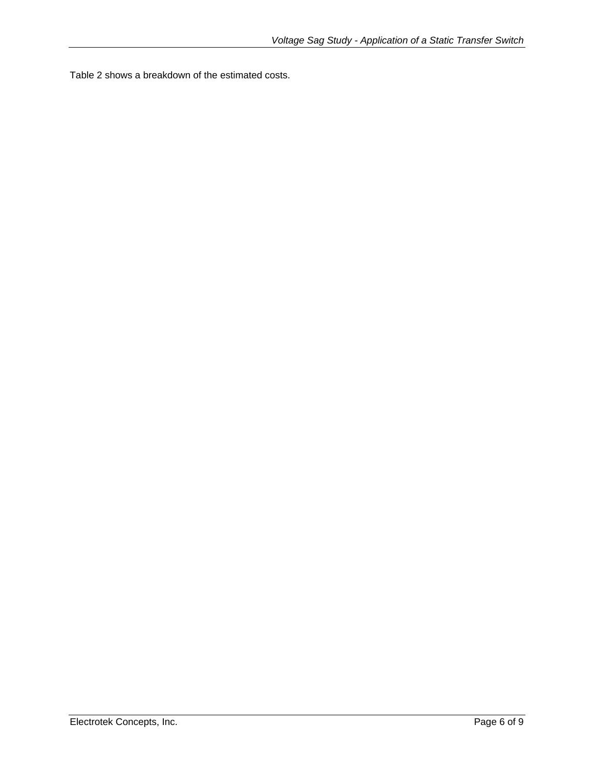Table 2 shows a breakdown of the estimated costs.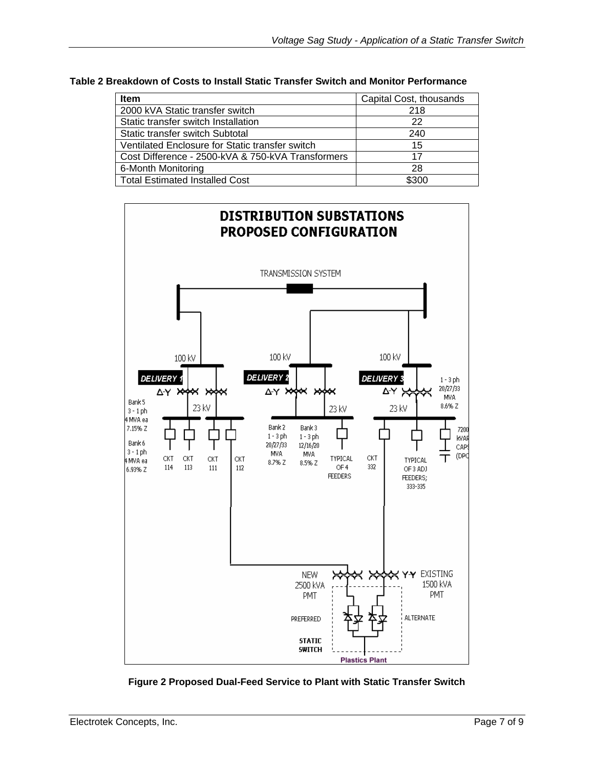<span id="page-6-2"></span><span id="page-6-0"></span>

| Table 2 Breakdown of Costs to Install Static Transfer Switch and Monitor Performance |  |
|--------------------------------------------------------------------------------------|--|
|--------------------------------------------------------------------------------------|--|

| <b>Item</b>                                       | Capital Cost, thousands |
|---------------------------------------------------|-------------------------|
| 2000 kVA Static transfer switch                   | 218                     |
| Static transfer switch Installation               | 22                      |
| Static transfer switch Subtotal                   | 240                     |
| Ventilated Enclosure for Static transfer switch   | 15                      |
| Cost Difference - 2500-kVA & 750-kVA Transformers | 17                      |
| 6-Month Monitoring                                | 28                      |
| <b>Total Estimated Installed Cost</b>             | \$300                   |

<span id="page-6-1"></span>

**Figure 2 Proposed Dual-Feed Service to Plant with Static Transfer Switch**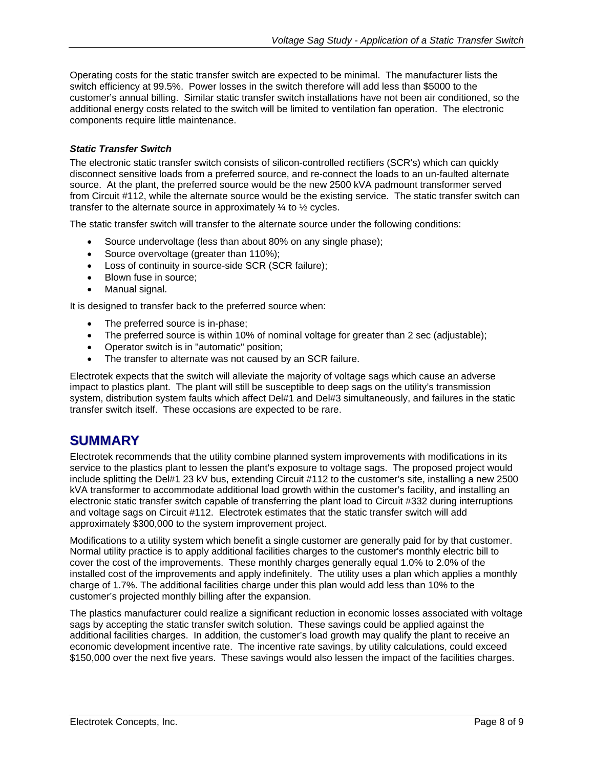<span id="page-7-0"></span>Operating costs for the static transfer switch are expected to be minimal. The manufacturer lists the switch efficiency at 99.5%. Power losses in the switch therefore will add less than \$5000 to the customer's annual billing. Similar static transfer switch installations have not been air conditioned, so the additional energy costs related to the switch will be limited to ventilation fan operation. The electronic components require little maintenance.

#### *Static Transfer Switch*

The electronic static transfer switch consists of silicon-controlled rectifiers (SCR's) which can quickly disconnect sensitive loads from a preferred source, and re-connect the loads to an un-faulted alternate source. At the plant, the preferred source would be the new 2500 kVA padmount transformer served from Circuit #112, while the alternate source would be the existing service. The static transfer switch can transfer to the alternate source in approximately ¼ to ½ cycles.

The static transfer switch will transfer to the alternate source under the following conditions:

- Source undervoltage (less than about 80% on any single phase);
- Source overvoltage (greater than 110%);
- Loss of continuity in source-side SCR (SCR failure);
- Blown fuse in source;
- Manual signal.

It is designed to transfer back to the preferred source when:

- The preferred source is in-phase;
- The preferred source is within 10% of nominal voltage for greater than 2 sec (adjustable);
- Operator switch is in "automatic" position;
- The transfer to alternate was not caused by an SCR failure.

Electrotek expects that the switch will alleviate the majority of voltage sags which cause an adverse impact to plastics plant. The plant will still be susceptible to deep sags on the utility's transmission system, distribution system faults which affect Del#1 and Del#3 simultaneously, and failures in the static transfer switch itself. These occasions are expected to be rare.

#### **SUMMARY**

Electrotek recommends that the utility combine planned system improvements with modifications in its service to the plastics plant to lessen the plant's exposure to voltage sags. The proposed project would include splitting the Del#1 23 kV bus, extending Circuit #112 to the customer's site, installing a new 2500 kVA transformer to accommodate additional load growth within the customer's facility, and installing an electronic static transfer switch capable of transferring the plant load to Circuit #332 during interruptions and voltage sags on Circuit #112. Electrotek estimates that the static transfer switch will add approximately \$300,000 to the system improvement project.

Modifications to a utility system which benefit a single customer are generally paid for by that customer. Normal utility practice is to apply additional facilities charges to the customer's monthly electric bill to cover the cost of the improvements. These monthly charges generally equal 1.0% to 2.0% of the installed cost of the improvements and apply indefinitely. The utility uses a plan which applies a monthly charge of 1.7%. The additional facilities charge under this plan would add less than 10% to the customer's projected monthly billing after the expansion.

The plastics manufacturer could realize a significant reduction in economic losses associated with voltage sags by accepting the static transfer switch solution. These savings could be applied against the additional facilities charges. In addition, the customer's load growth may qualify the plant to receive an economic development incentive rate. The incentive rate savings, by utility calculations, could exceed \$150,000 over the next five years. These savings would also lessen the impact of the facilities charges.